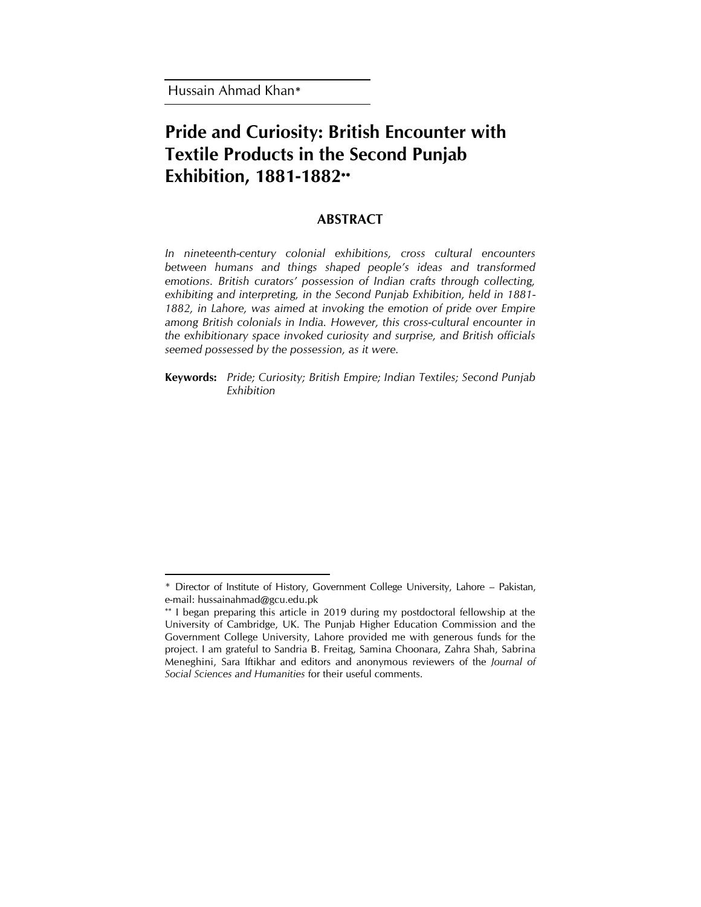Hussain Ahmad Khan**\***

 $\overline{\phantom{a}}$ 

# **Pride and Curiosity: British Encounter with Textile Products in the Second Punjab Exhibition, 1881-1882**

# **ABSTRACT**

*In nineteenth-century colonial exhibitions, cross cultural encounters between humans and things shaped people's ideas and transformed emotions. British curators' possession of Indian crafts through collecting, exhibiting and interpreting, in the Second Punjab Exhibition, held in 1881-* 1882, in Lahore, was aimed at invoking the emotion of pride over Empire *among British colonials in India. However, this cross-cultural encounter in the exhibitionary space invoked curiosity and surprise, and British officials seemed possessed by the possession, as it were.* 

**Keywords:** *Pride; Curiosity; British Empire; Indian Textiles; Second Punjab Exhibition*

<sup>\*</sup> Director of Institute of History, Government College University, Lahore – Pakistan, e-mail[: hussainahmad@gcu.edu.pk](mailto:hussainahmad@gcu.edu.pk) 

<sup>\*\*</sup> I began preparing this article in 2019 during my postdoctoral fellowship at the University of Cambridge, UK. The Punjab Higher Education Commission and the Government College University, Lahore provided me with generous funds for the project. I am grateful to Sandria B. Freitag, Samina Choonara, Zahra Shah, Sabrina Meneghini, Sara Iftikhar and editors and anonymous reviewers of the *Journal of Social Sciences and Humanities* for their useful comments.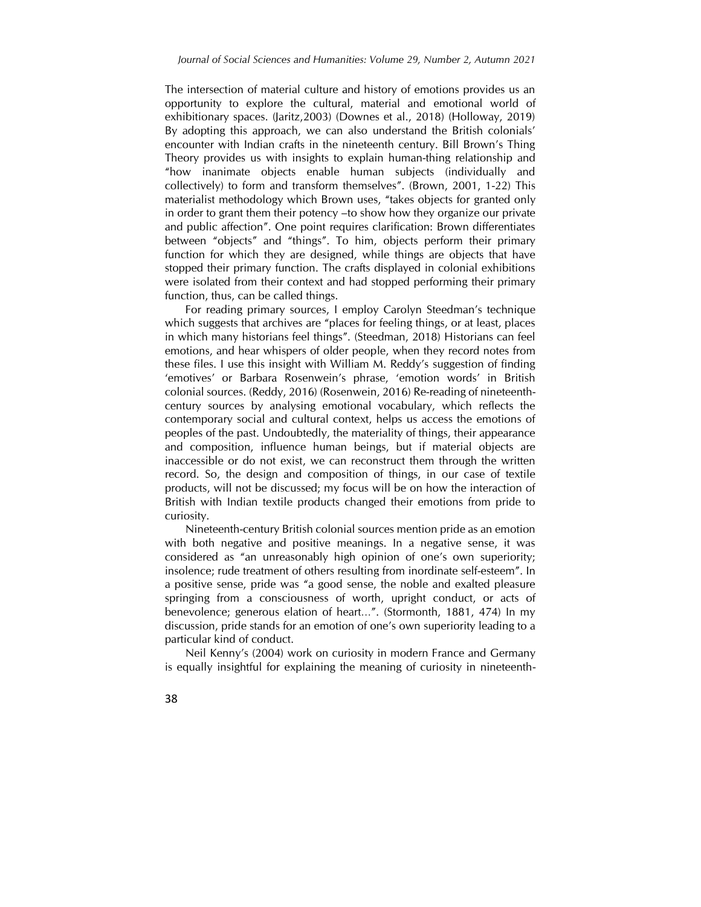The intersection of material culture and history of emotions provides us an opportunity to explore the cultural, material and emotional world of exhibitionary spaces. (Jaritz,2003) (Downes et al., 2018) (Holloway, 2019) By adopting this approach, we can also understand the British colonials' encounter with Indian crafts in the nineteenth century. Bill Brown's Thing Theory provides us with insights to explain human-thing relationship and "how inanimate objects enable human subjects (individually and collectively) to form and transform themselves". (Brown, 2001, 1-22) This materialist methodology which Brown uses, "takes objects for granted only in order to grant them their potency –to show how they organize our private and public affection". One point requires clarification: Brown differentiates between "objects" and "things". To him, objects perform their primary function for which they are designed, while things are objects that have stopped their primary function. The crafts displayed in colonial exhibitions were isolated from their context and had stopped performing their primary function, thus, can be called things.

For reading primary sources, I employ Carolyn Steedman's technique which suggests that archives are "places for feeling things, or at least, places in which many historians feel things". (Steedman, 2018) Historians can feel emotions, and hear whispers of older people, when they record notes from these files. I use this insight with William M. Reddy's suggestion of finding 'emotives' or Barbara Rosenwein's phrase, 'emotion words' in British colonial sources. (Reddy, 2016) (Rosenwein, 2016) Re-reading of nineteenthcentury sources by analysing emotional vocabulary, which reflects the contemporary social and cultural context, helps us access the emotions of peoples of the past. Undoubtedly, the materiality of things, their appearance and composition, influence human beings, but if material objects are inaccessible or do not exist, we can reconstruct them through the written record. So, the design and composition of things, in our case of textile products, will not be discussed; my focus will be on how the interaction of British with Indian textile products changed their emotions from pride to curiosity.

Nineteenth-century British colonial sources mention pride as an emotion with both negative and positive meanings. In a negative sense, it was considered as "an unreasonably high opinion of one's own superiority; insolence; rude treatment of others resulting from inordinate self-esteem". In a positive sense, pride was "a good sense, the noble and exalted pleasure springing from a consciousness of worth, upright conduct, or acts of benevolence; generous elation of heart…". (Stormonth, 1881, 474) In my discussion, pride stands for an emotion of one's own superiority leading to a particular kind of conduct.

Neil Kenny's (2004) work on curiosity in modern France and Germany is equally insightful for explaining the meaning of curiosity in nineteenth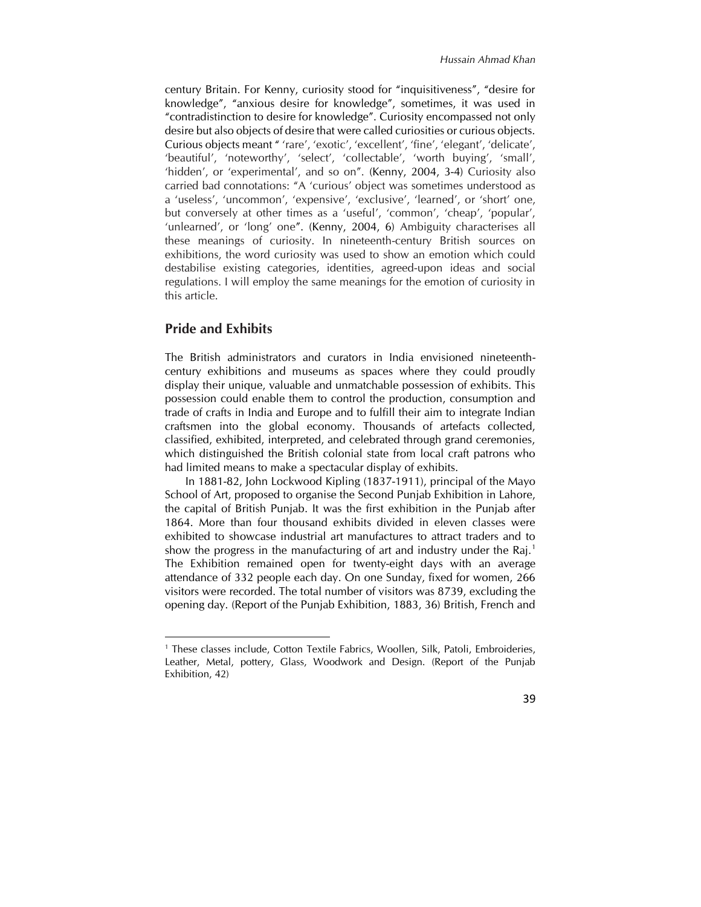century Britain. For Kenny, curiosity stood for "inquisitiveness", "desire for knowledge", "anxious desire for knowledge", sometimes, it was used in "contradistinction to desire for knowledge". Curiosity encompassed not only desire but also objects of desire that were called curiosities or curious objects. Curious objects meant " 'rare', 'exotic', 'excellent', 'fine', 'elegant', 'delicate', 'beautiful', 'noteworthy', 'select', 'collectable', 'worth buying', 'small', 'hidden', or 'experimental', and so on". (Kenny, 2004, 3-4) Curiosity also carried bad connotations: "A 'curious' object was sometimes understood as a 'useless', 'uncommon', 'expensive', 'exclusive', 'learned', or 'short' one, but conversely at other times as a 'useful', 'common', 'cheap', 'popular', 'unlearned', or 'long' one". (Kenny, 2004, 6) Ambiguity characterises all these meanings of curiosity. In nineteenth-century British sources on exhibitions, the word curiosity was used to show an emotion which could destabilise existing categories, identities, agreed-upon ideas and social regulations. I will employ the same meanings for the emotion of curiosity in this article.

## **Pride and Exhibits**

 $\overline{\phantom{a}}$ 

The British administrators and curators in India envisioned nineteenthcentury exhibitions and museums as spaces where they could proudly display their unique, valuable and unmatchable possession of exhibits. This possession could enable them to control the production, consumption and trade of crafts in India and Europe and to fulfill their aim to integrate Indian craftsmen into the global economy. Thousands of artefacts collected, classified, exhibited, interpreted, and celebrated through grand ceremonies, which distinguished the British colonial state from local craft patrons who had limited means to make a spectacular display of exhibits.

In 1881-82, John Lockwood Kipling (1837-1911), principal of the Mayo School of Art, proposed to organise the Second Punjab Exhibition in Lahore, the capital of British Punjab. It was the first exhibition in the Punjab after 1864. More than four thousand exhibits divided in eleven classes were exhibited to showcase industrial art manufactures to attract traders and to show the progress in the manufacturing of art and industry under the Raj.<sup>1</sup> The Exhibition remained open for twenty-eight days with an average attendance of 332 people each day. On one Sunday, fixed for women, 266 visitors were recorded. The total number of visitors was 8739, excluding the opening day. (Report of the Punjab Exhibition, 1883, 36) British, French and

<sup>&</sup>lt;sup>1</sup> These classes include, Cotton Textile Fabrics, Woollen, Silk, Patoli, Embroideries, Leather, Metal, pottery, Glass, Woodwork and Design. (Report of the Punjab Exhibition, 42)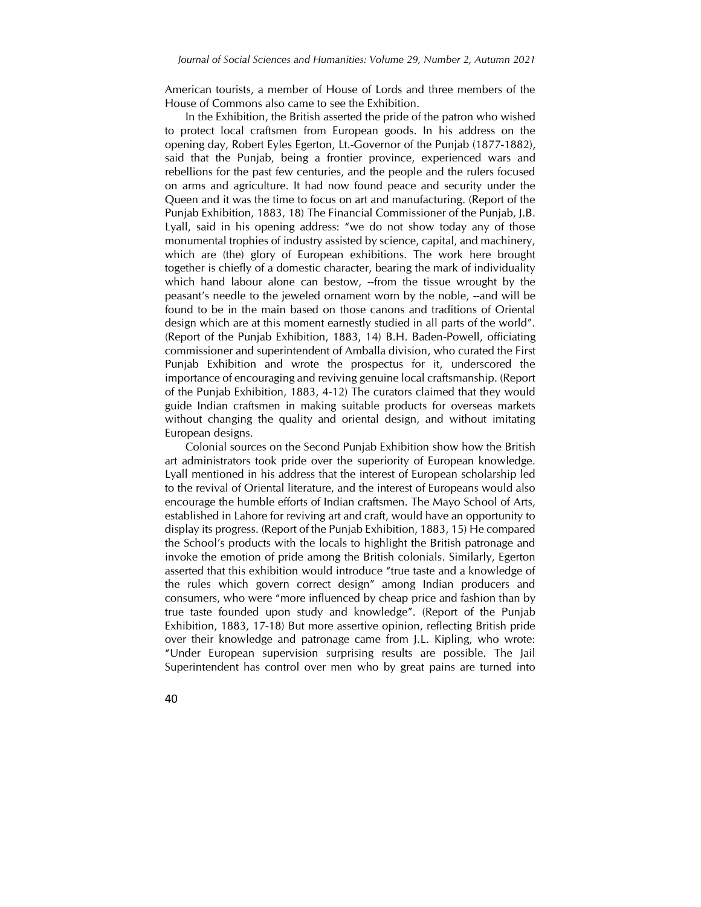American tourists, a member of House of Lords and three members of the House of Commons also came to see the Exhibition.

In the Exhibition, the British asserted the pride of the patron who wished to protect local craftsmen from European goods. In his address on the opening day, Robert Eyles Egerton, Lt.-Governor of the Punjab (1877-1882), said that the Punjab, being a frontier province, experienced wars and rebellions for the past few centuries, and the people and the rulers focused on arms and agriculture. It had now found peace and security under the Queen and it was the time to focus on art and manufacturing. (Report of the Punjab Exhibition, 1883, 18) The Financial Commissioner of the Punjab, J.B. Lyall, said in his opening address: "we do not show today any of those monumental trophies of industry assisted by science, capital, and machinery, which are (the) glory of European exhibitions. The work here brought together is chiefly of a domestic character, bearing the mark of individuality which hand labour alone can bestow, --from the tissue wrought by the peasant's needle to the jeweled ornament worn by the noble, --and will be found to be in the main based on those canons and traditions of Oriental design which are at this moment earnestly studied in all parts of the world". (Report of the Punjab Exhibition, 1883, 14) B.H. Baden-Powell, officiating commissioner and superintendent of Amballa division, who curated the First Punjab Exhibition and wrote the prospectus for it, underscored the importance of encouraging and reviving genuine local craftsmanship. (Report of the Punjab Exhibition, 1883, 4-12) The curators claimed that they would guide Indian craftsmen in making suitable products for overseas markets without changing the quality and oriental design, and without imitating European designs.

Colonial sources on the Second Punjab Exhibition show how the British art administrators took pride over the superiority of European knowledge. Lyall mentioned in his address that the interest of European scholarship led to the revival of Oriental literature, and the interest of Europeans would also encourage the humble efforts of Indian craftsmen. The Mayo School of Arts, established in Lahore for reviving art and craft, would have an opportunity to display its progress. (Report of the Punjab Exhibition, 1883, 15) He compared the School's products with the locals to highlight the British patronage and invoke the emotion of pride among the British colonials. Similarly, Egerton asserted that this exhibition would introduce "true taste and a knowledge of the rules which govern correct design" among Indian producers and consumers, who were "more influenced by cheap price and fashion than by true taste founded upon study and knowledge". (Report of the Punjab Exhibition, 1883, 17-18) But more assertive opinion, reflecting British pride over their knowledge and patronage came from J.L. Kipling, who wrote: "Under European supervision surprising results are possible. The Jail Superintendent has control over men who by great pains are turned into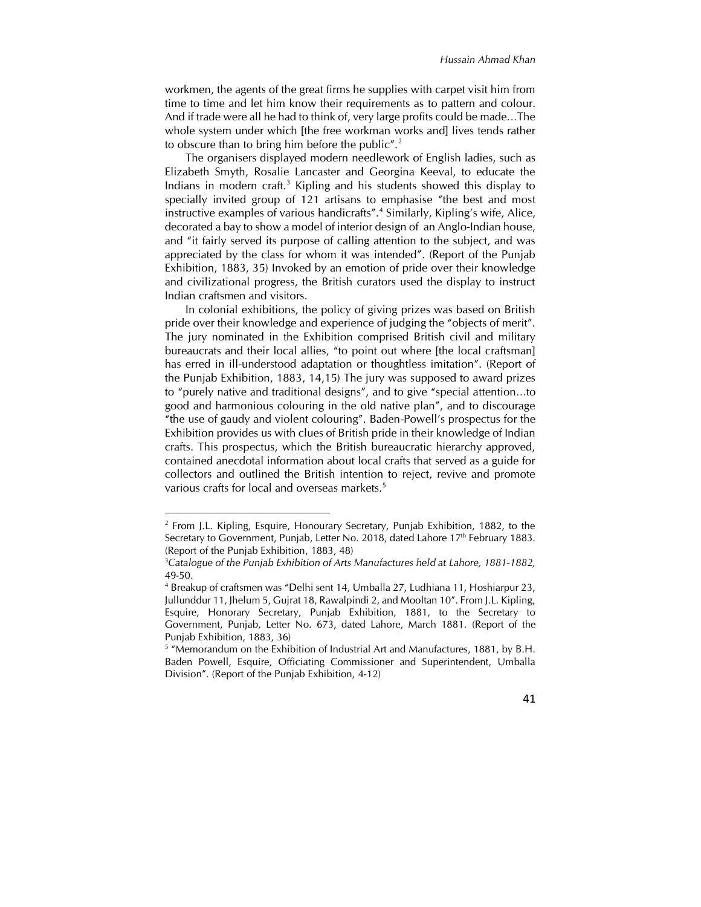workmen, the agents of the great firms he supplies with carpet visit him from time to time and let him know their requirements as to pattern and colour. And if trade were all he had to think of, very large profits could be made…The whole system under which [the free workman works and] lives tends rather to obscure than to bring him before the public".<sup>2</sup>

The organisers displayed modern needlework of English ladies, such as Elizabeth Smyth, Rosalie Lancaster and Georgina Keeval, to educate the Indians in modern craft.<sup>3</sup> Kipling and his students showed this display to specially invited group of 121 artisans to emphasise "the best and most instructive examples of various handicrafts".<sup>4</sup> Similarly, Kipling's wife, Alice, decorated a bay to show a model of interior design of an Anglo-Indian house, and "it fairly served its purpose of calling attention to the subject, and was appreciated by the class for whom it was intended". (Report of the Punjab Exhibition, 1883, 35) Invoked by an emotion of pride over their knowledge and civilizational progress, the British curators used the display to instruct Indian craftsmen and visitors.

In colonial exhibitions, the policy of giving prizes was based on British pride over their knowledge and experience of judging the "objects of merit". The jury nominated in the Exhibition comprised British civil and military bureaucrats and their local allies, "to point out where [the local craftsman] has erred in ill-understood adaptation or thoughtless imitation". (Report of the Punjab Exhibition, 1883, 14,15) The jury was supposed to award prizes to "purely native and traditional designs", and to give "special attention…to good and harmonious colouring in the old native plan", and to discourage "the use of gaudy and violent colouring". Baden-Powell's prospectus for the Exhibition provides us with clues of British pride in their knowledge of Indian crafts. This prospectus, which the British bureaucratic hierarchy approved, contained anecdotal information about local crafts that served as a guide for collectors and outlined the British intention to reject, revive and promote various crafts for local and overseas markets.<sup>5</sup>

 $\overline{\phantom{a}}$ 

<sup>&</sup>lt;sup>5</sup> "Memorandum on the Exhibition of Industrial Art and Manufactures, 1881, by B.H. Baden Powell, Esquire, Officiating Commissioner and Superintendent, Umballa Division". (Report of the Punjab Exhibition, 4-12)



<sup>&</sup>lt;sup>2</sup> From J.L. Kipling, Esquire, Honourary Secretary, Punjab Exhibition, 1882, to the Secretary to Government, Punjab, Letter No. 2018, dated Lahore 17<sup>th</sup> February 1883. (Report of the Punjab Exhibition, 1883, 48)

<sup>3</sup>*Catalogue of the Punjab Exhibition of Arts Manufactures held at Lahore, 1881-1882,*  49-50.

<sup>4</sup> Breakup of craftsmen was "Delhi sent 14, Umballa 27, Ludhiana 11, Hoshiarpur 23, Jullunddur 11, Jhelum 5, Gujrat 18, Rawalpindi 2, and Mooltan 10". From J.L. Kipling, Esquire, Honorary Secretary, Punjab Exhibition, 1881, to the Secretary to Government, Punjab, Letter No. 673, dated Lahore, March 1881. (Report of the Punjab Exhibition, 1883, 36)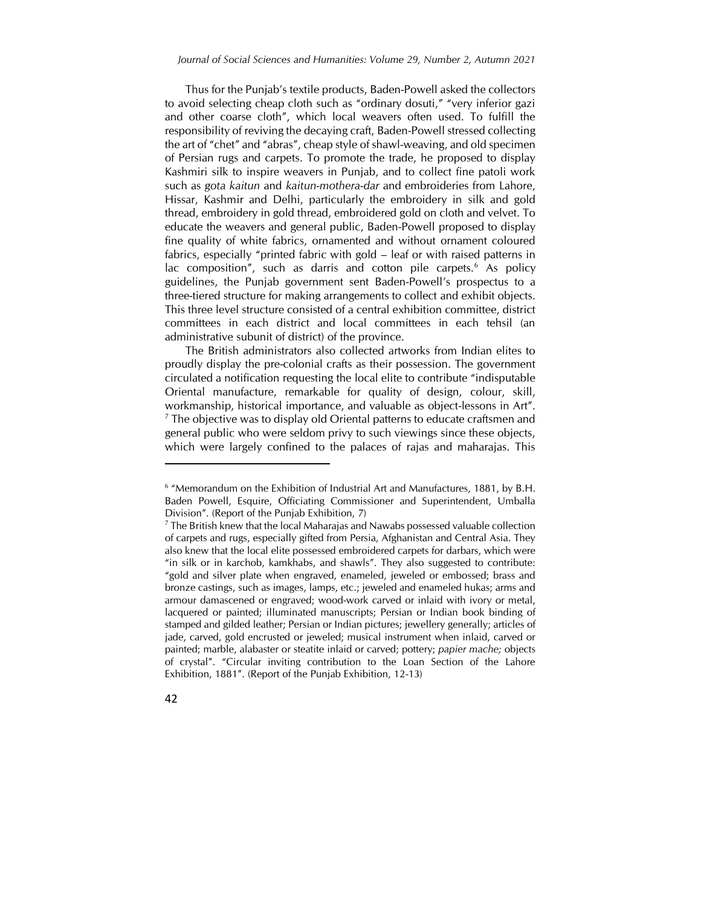Thus for the Punjab's textile products, Baden-Powell asked the collectors to avoid selecting cheap cloth such as "ordinary dosuti," "very inferior gazi and other coarse cloth", which local weavers often used. To fulfill the responsibility of reviving the decaying craft, Baden-Powell stressed collecting the art of "chet" and "abras", cheap style of shawl-weaving, and old specimen of Persian rugs and carpets. To promote the trade, he proposed to display Kashmiri silk to inspire weavers in Punjab, and to collect fine patoli work such as *gota kaitun* and *kaitun-mothera-dar* and embroideries from Lahore, Hissar, Kashmir and Delhi, particularly the embroidery in silk and gold thread, embroidery in gold thread, embroidered gold on cloth and velvet. To educate the weavers and general public, Baden-Powell proposed to display fine quality of white fabrics, ornamented and without ornament coloured fabrics, especially "printed fabric with gold – leaf or with raised patterns in lac composition", such as darris and cotton pile carpets. $6$  As policy guidelines, the Punjab government sent Baden-Powell's prospectus to a three-tiered structure for making arrangements to collect and exhibit objects. This three level structure consisted of a central exhibition committee, district committees in each district and local committees in each tehsil (an administrative subunit of district) of the province.

The British administrators also collected artworks from Indian elites to proudly display the pre-colonial crafts as their possession. The government circulated a notification requesting the local elite to contribute "indisputable Oriental manufacture, remarkable for quality of design, colour, skill, workmanship, historical importance, and valuable as object-lessons in Art". <sup>7</sup> The objective was to display old Oriental patterns to educate craftsmen and general public who were seldom privy to such viewings since these objects, which were largely confined to the palaces of rajas and maharajas. This

 $<sup>7</sup>$  The British knew that the local Maharajas and Nawabs possessed valuable collection</sup> of carpets and rugs, especially gifted from Persia, Afghanistan and Central Asia. They also knew that the local elite possessed embroidered carpets for darbars, which were "in silk or in karchob, kamkhabs, and shawls". They also suggested to contribute: "gold and silver plate when engraved, enameled, jeweled or embossed; brass and bronze castings, such as images, lamps, etc.; jeweled and enameled hukas; arms and armour damascened or engraved; wood-work carved or inlaid with ivory or metal, lacquered or painted; illuminated manuscripts; Persian or Indian book binding of stamped and gilded leather; Persian or Indian pictures; jewellery generally; articles of jade, carved, gold encrusted or jeweled; musical instrument when inlaid, carved or painted; marble, alabaster or steatite inlaid or carved; pottery; *papier mache;* objects of crystal". "Circular inviting contribution to the Loan Section of the Lahore Exhibition, 1881". (Report of the Punjab Exhibition, 12-13)



 $\overline{\phantom{a}}$ 

<sup>&</sup>lt;sup>6</sup> "Memorandum on the Exhibition of Industrial Art and Manufactures, 1881, by B.H. Baden Powell, Esquire, Officiating Commissioner and Superintendent, Umballa Division". (Report of the Punjab Exhibition, 7)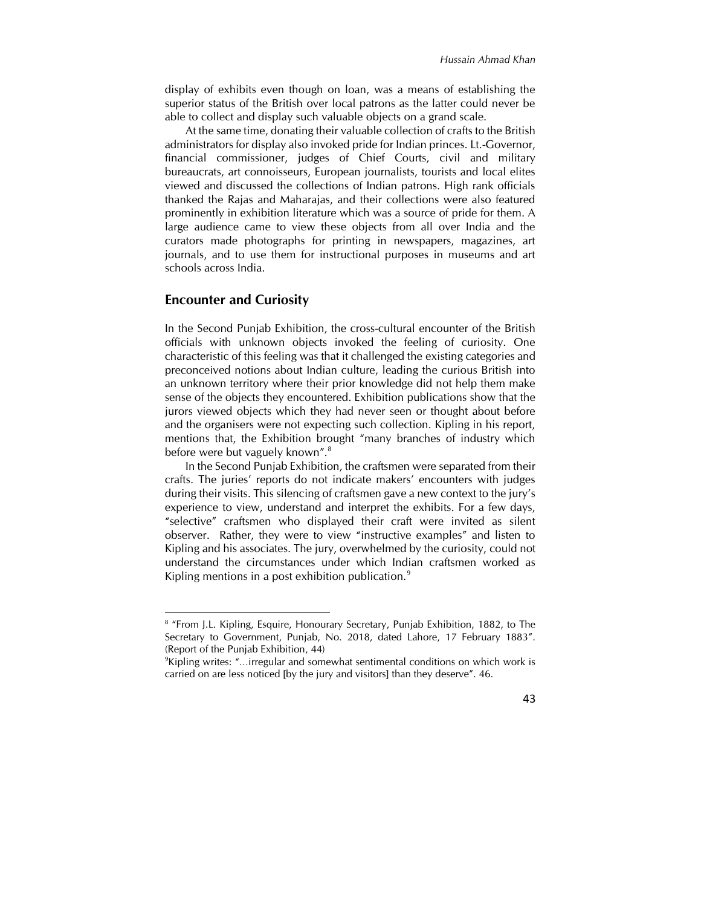display of exhibits even though on loan, was a means of establishing the superior status of the British over local patrons as the latter could never be able to collect and display such valuable objects on a grand scale.

At the same time, donating their valuable collection of crafts to the British administrators for display also invoked pride for Indian princes. Lt.-Governor, financial commissioner, judges of Chief Courts, civil and military bureaucrats, art connoisseurs, European journalists, tourists and local elites viewed and discussed the collections of Indian patrons. High rank officials thanked the Rajas and Maharajas, and their collections were also featured prominently in exhibition literature which was a source of pride for them. A large audience came to view these objects from all over India and the curators made photographs for printing in newspapers, magazines, art journals, and to use them for instructional purposes in museums and art schools across India.

#### **Encounter and Curiosity**

 $\overline{a}$ 

In the Second Punjab Exhibition, the cross-cultural encounter of the British officials with unknown objects invoked the feeling of curiosity. One characteristic of this feeling was that it challenged the existing categories and preconceived notions about Indian culture, leading the curious British into an unknown territory where their prior knowledge did not help them make sense of the objects they encountered. Exhibition publications show that the jurors viewed objects which they had never seen or thought about before and the organisers were not expecting such collection. Kipling in his report, mentions that, the Exhibition brought "many branches of industry which before were but vaguely known".<sup>8</sup>

In the Second Punjab Exhibition, the craftsmen were separated from their crafts. The juries' reports do not indicate makers' encounters with judges during their visits. This silencing of craftsmen gave a new context to the jury's experience to view, understand and interpret the exhibits. For a few days, "selective" craftsmen who displayed their craft were invited as silent observer. Rather, they were to view "instructive examples" and listen to Kipling and his associates. The jury, overwhelmed by the curiosity, could not understand the circumstances under which Indian craftsmen worked as Kipling mentions in a post exhibition publication.<sup>9</sup>

<sup>9</sup>Kipling writes: "…irregular and somewhat sentimental conditions on which work is carried on are less noticed [by the jury and visitors] than they deserve". 46.



<sup>&</sup>lt;sup>8</sup> "From J.L. Kipling, Esquire, Honourary Secretary, Punjab Exhibition, 1882, to The Secretary to Government, Punjab, No. 2018, dated Lahore, 17 February 1883". (Report of the Punjab Exhibition, 44)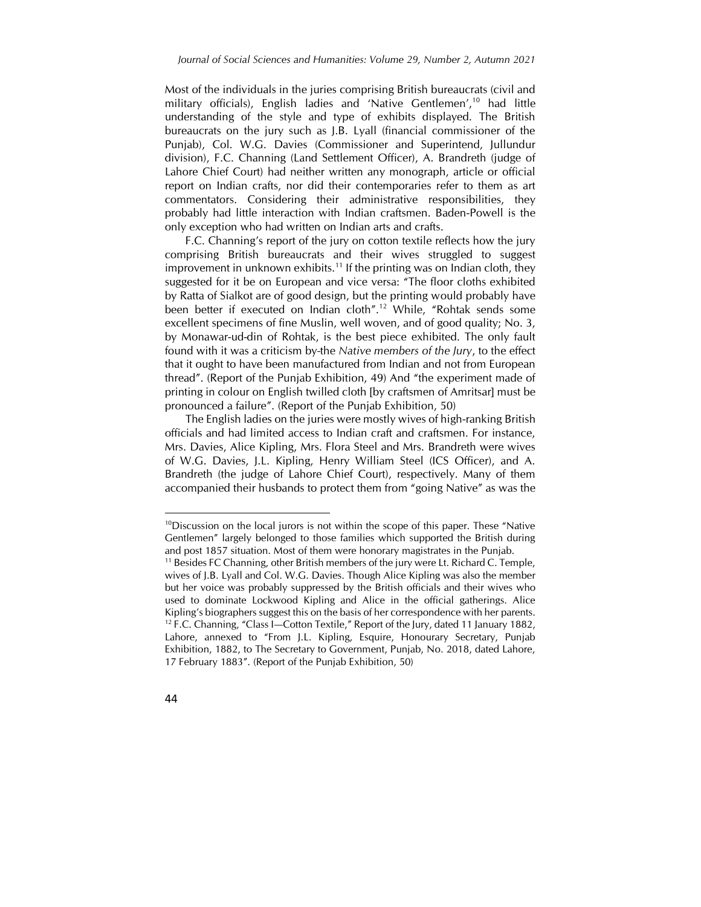Most of the individuals in the juries comprising British bureaucrats (civil and military officials), English ladies and 'Native Gentlemen',<sup>10</sup> had little understanding of the style and type of exhibits displayed. The British bureaucrats on the jury such as J.B. Lyall (financial commissioner of the Punjab), Col. W.G. Davies (Commissioner and Superintend, Jullundur division), F.C. Channing (Land Settlement Officer), A. Brandreth (judge of Lahore Chief Court) had neither written any monograph, article or official report on Indian crafts, nor did their contemporaries refer to them as art commentators. Considering their administrative responsibilities, they probably had little interaction with Indian craftsmen. Baden-Powell is the only exception who had written on Indian arts and crafts.

F.C. Channing's report of the jury on cotton textile reflects how the jury comprising British bureaucrats and their wives struggled to suggest improvement in unknown exhibits.<sup>11</sup> If the printing was on Indian cloth, they suggested for it be on European and vice versa: "The floor cloths exhibited by Ratta of Sialkot are of good design, but the printing would probably have been better if executed on Indian cloth".<sup>12</sup> While, "Rohtak sends some excellent specimens of fine Muslin, well woven, and of good quality; No. 3, by Monawar-ud-din of Rohtak, is the best piece exhibited. The only fault found with it was a criticism by the *Native members of the Jury*, to the effect that it ought to have been manufactured from Indian and not from European thread". (Report of the Punjab Exhibition, 49) And "the experiment made of printing in colour on English twilled cloth [by craftsmen of Amritsar] must be pronounced a failure". (Report of the Punjab Exhibition, 50)

The English ladies on the juries were mostly wives of high-ranking British officials and had limited access to Indian craft and craftsmen. For instance, Mrs. Davies, Alice Kipling, Mrs. Flora Steel and Mrs. Brandreth were wives of W.G. Davies, J.L. Kipling, Henry William Steel (ICS Officer), and A. Brandreth (the judge of Lahore Chief Court), respectively. Many of them accompanied their husbands to protect them from "going Native" as was the

<sup>&</sup>lt;sup>11</sup> Besides FC Channing, other British members of the jury were Lt. Richard C. Temple, wives of J.B. Lyall and Col. W.G. Davies. Though Alice Kipling was also the member but her voice was probably suppressed by the British officials and their wives who used to dominate Lockwood Kipling and Alice in the official gatherings. Alice Kipling's biographers suggest this on the basis of her correspondence with her parents. <sup>12</sup> F.C. Channing, "Class I-Cotton Textile," Report of the Jury, dated 11 January 1882, Lahore, annexed to "From J.L. Kipling, Esquire, Honourary Secretary, Punjab Exhibition, 1882, to The Secretary to Government, Punjab, No. 2018, dated Lahore, 17 February 1883". (Report of the Punjab Exhibition, 50)



 $\overline{\phantom{a}}$ 

 $10$ Discussion on the local jurors is not within the scope of this paper. These "Native Gentlemen" largely belonged to those families which supported the British during and post 1857 situation. Most of them were honorary magistrates in the Punjab.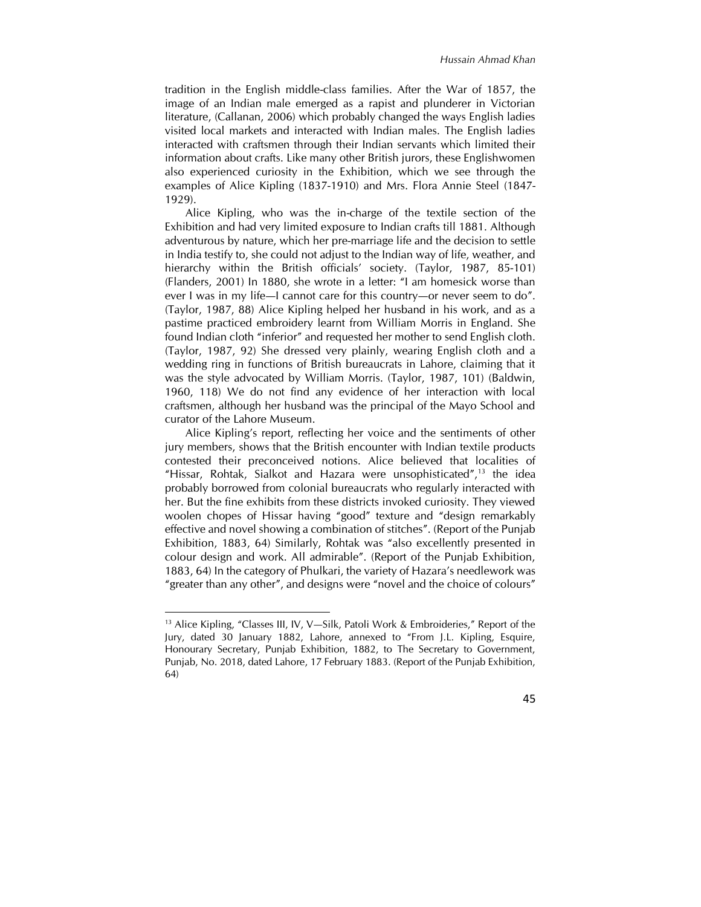tradition in the English middle-class families. After the War of 1857, the image of an Indian male emerged as a rapist and plunderer in Victorian literature, (Callanan, 2006) which probably changed the ways English ladies visited local markets and interacted with Indian males. The English ladies interacted with craftsmen through their Indian servants which limited their information about crafts. Like many other British jurors, these Englishwomen also experienced curiosity in the Exhibition, which we see through the examples of Alice Kipling (1837-1910) and Mrs. Flora Annie Steel (1847- 1929).

Alice Kipling, who was the in-charge of the textile section of the Exhibition and had very limited exposure to Indian crafts till 1881. Although adventurous by nature, which her pre-marriage life and the decision to settle in India testify to, she could not adjust to the Indian way of life, weather, and hierarchy within the British officials' society. (Taylor, 1987, 85-101) (Flanders, 2001) In 1880, she wrote in a letter: "I am homesick worse than ever I was in my life—I cannot care for this country—or never seem to do". (Taylor, 1987, 88) Alice Kipling helped her husband in his work, and as a pastime practiced embroidery learnt from William Morris in England. She found Indian cloth "inferior" and requested her mother to send English cloth. (Taylor, 1987, 92) She dressed very plainly, wearing English cloth and a wedding ring in functions of British bureaucrats in Lahore, claiming that it was the style advocated by William Morris. (Taylor, 1987, 101) (Baldwin, 1960, 118) We do not find any evidence of her interaction with local craftsmen, although her husband was the principal of the Mayo School and curator of the Lahore Museum.

Alice Kipling's report, reflecting her voice and the sentiments of other jury members, shows that the British encounter with Indian textile products contested their preconceived notions. Alice believed that localities of "Hissar, Rohtak, Sialkot and Hazara were unsophisticated",<sup>13</sup> the idea probably borrowed from colonial bureaucrats who regularly interacted with her. But the fine exhibits from these districts invoked curiosity. They viewed woolen chopes of Hissar having "good" texture and "design remarkably effective and novel showing a combination of stitches". (Report of the Punjab Exhibition, 1883, 64) Similarly, Rohtak was "also excellently presented in colour design and work. All admirable". (Report of the Punjab Exhibition, 1883, 64) In the category of Phulkari, the variety of Hazara's needlework was "greater than any other", and designs were "novel and the choice of colours"

 $\overline{a}$ 



<sup>&</sup>lt;sup>13</sup> Alice Kipling, "Classes III, IV, V-Silk, Patoli Work & Embroideries," Report of the Jury, dated 30 January 1882, Lahore, annexed to "From J.L. Kipling, Esquire, Honourary Secretary, Punjab Exhibition, 1882, to The Secretary to Government, Punjab, No. 2018, dated Lahore, 17 February 1883. (Report of the Punjab Exhibition, 64)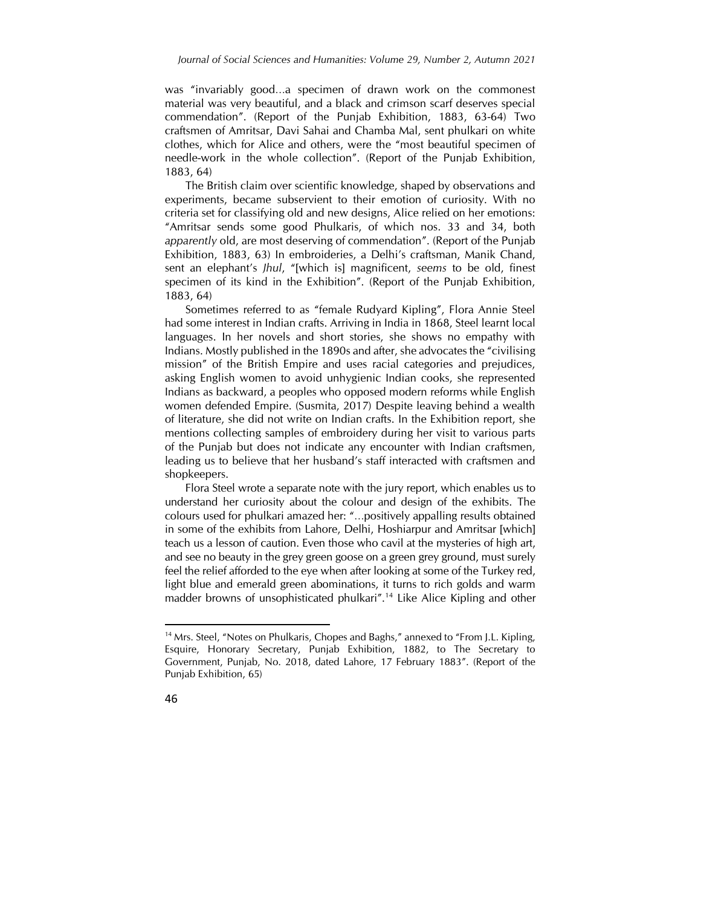was "invariably good…a specimen of drawn work on the commonest material was very beautiful, and a black and crimson scarf deserves special commendation". (Report of the Punjab Exhibition, 1883, 63-64) Two craftsmen of Amritsar, Davi Sahai and Chamba Mal, sent phulkari on white clothes, which for Alice and others, were the "most beautiful specimen of needle-work in the whole collection". (Report of the Punjab Exhibition, 1883, 64)

The British claim over scientific knowledge, shaped by observations and experiments, became subservient to their emotion of curiosity. With no criteria set for classifying old and new designs, Alice relied on her emotions: "Amritsar sends some good Phulkaris, of which nos. 33 and 34, both *apparently* old, are most deserving of commendation". (Report of the Punjab Exhibition, 1883, 63) In embroideries, a Delhi's craftsman, Manik Chand, sent an elephant's *Jhul*, "[which is] magnificent, *seems* to be old, finest specimen of its kind in the Exhibition". (Report of the Punjab Exhibition, 1883, 64)

Sometimes referred to as "female Rudyard Kipling", Flora Annie Steel had some interest in Indian crafts. Arriving in India in 1868, Steel learnt local languages. In her novels and short stories, she shows no empathy with Indians. Mostly published in the 1890s and after, she advocates the "civilising mission" of the British Empire and uses racial categories and prejudices, asking English women to avoid unhygienic Indian cooks, she represented Indians as backward, a peoples who opposed modern reforms while English women defended Empire. (Susmita, 2017) Despite leaving behind a wealth of literature, she did not write on Indian crafts. In the Exhibition report, she mentions collecting samples of embroidery during her visit to various parts of the Punjab but does not indicate any encounter with Indian craftsmen, leading us to believe that her husband's staff interacted with craftsmen and shopkeepers.

Flora Steel wrote a separate note with the jury report, which enables us to understand her curiosity about the colour and design of the exhibits. The colours used for phulkari amazed her: "…positively appalling results obtained in some of the exhibits from Lahore, Delhi, Hoshiarpur and Amritsar [which] teach us a lesson of caution. Even those who cavil at the mysteries of high art, and see no beauty in the grey green goose on a green grey ground, must surely feel the relief afforded to the eye when after looking at some of the Turkey red, light blue and emerald green abominations, it turns to rich golds and warm madder browns of unsophisticated phulkari".<sup>14</sup> Like Alice Kipling and other

<sup>&</sup>lt;sup>14</sup> Mrs. Steel, "Notes on Phulkaris, Chopes and Baghs," annexed to "From J.L. Kipling, Esquire, Honorary Secretary, Punjab Exhibition, 1882, to The Secretary to Government, Punjab, No. 2018, dated Lahore, 17 February 1883". (Report of the Punjab Exhibition, 65)



 $\overline{a}$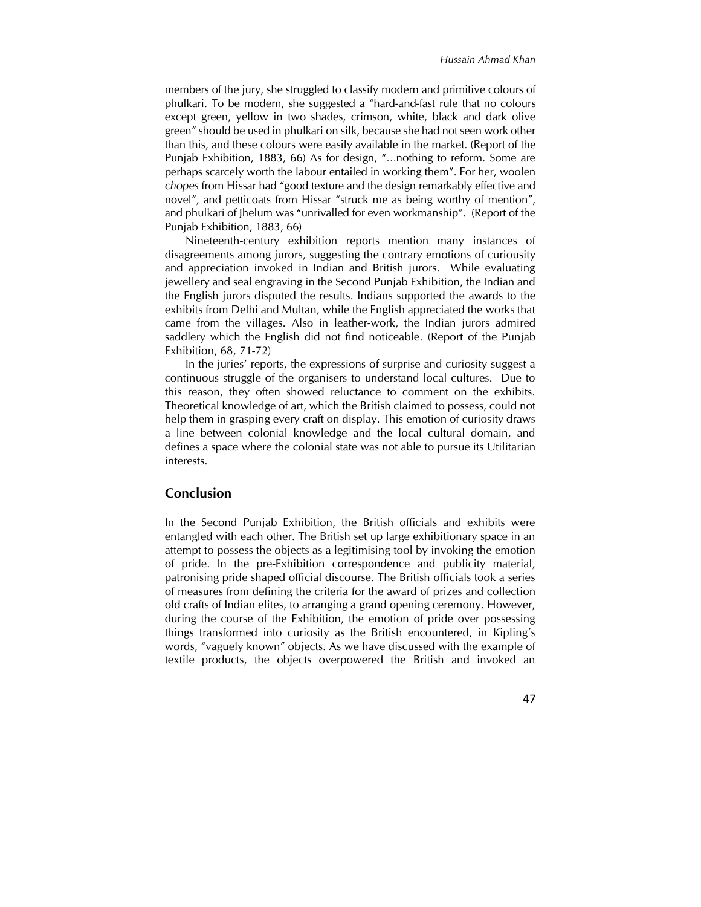members of the jury, she struggled to classify modern and primitive colours of phulkari. To be modern, she suggested a "hard-and-fast rule that no colours except green, yellow in two shades, crimson, white, black and dark olive green" should be used in phulkari on silk, because she had not seen work other than this, and these colours were easily available in the market. (Report of the Punjab Exhibition, 1883, 66) As for design, "…nothing to reform. Some are perhaps scarcely worth the labour entailed in working them". For her, woolen *chopes* from Hissar had "good texture and the design remarkably effective and novel", and petticoats from Hissar "struck me as being worthy of mention", and phulkari of Jhelum was "unrivalled for even workmanship". (Report of the Punjab Exhibition, 1883, 66)

Nineteenth-century exhibition reports mention many instances of disagreements among jurors, suggesting the contrary emotions of curiousity and appreciation invoked in Indian and British jurors. While evaluating jewellery and seal engraving in the Second Punjab Exhibition, the Indian and the English jurors disputed the results. Indians supported the awards to the exhibits from Delhi and Multan, while the English appreciated the works that came from the villages. Also in leather-work, the Indian jurors admired saddlery which the English did not find noticeable. (Report of the Punjab Exhibition, 68, 71-72)

In the juries' reports, the expressions of surprise and curiosity suggest a continuous struggle of the organisers to understand local cultures. Due to this reason, they often showed reluctance to comment on the exhibits. Theoretical knowledge of art, which the British claimed to possess, could not help them in grasping every craft on display. This emotion of curiosity draws a line between colonial knowledge and the local cultural domain, and defines a space where the colonial state was not able to pursue its Utilitarian interests.

## **Conclusion**

In the Second Punjab Exhibition, the British officials and exhibits were entangled with each other. The British set up large exhibitionary space in an attempt to possess the objects as a legitimising tool by invoking the emotion of pride. In the pre-Exhibition correspondence and publicity material, patronising pride shaped official discourse. The British officials took a series of measures from defining the criteria for the award of prizes and collection old crafts of Indian elites, to arranging a grand opening ceremony. However, during the course of the Exhibition, the emotion of pride over possessing things transformed into curiosity as the British encountered, in Kipling's words, "vaguely known" objects. As we have discussed with the example of textile products, the objects overpowered the British and invoked an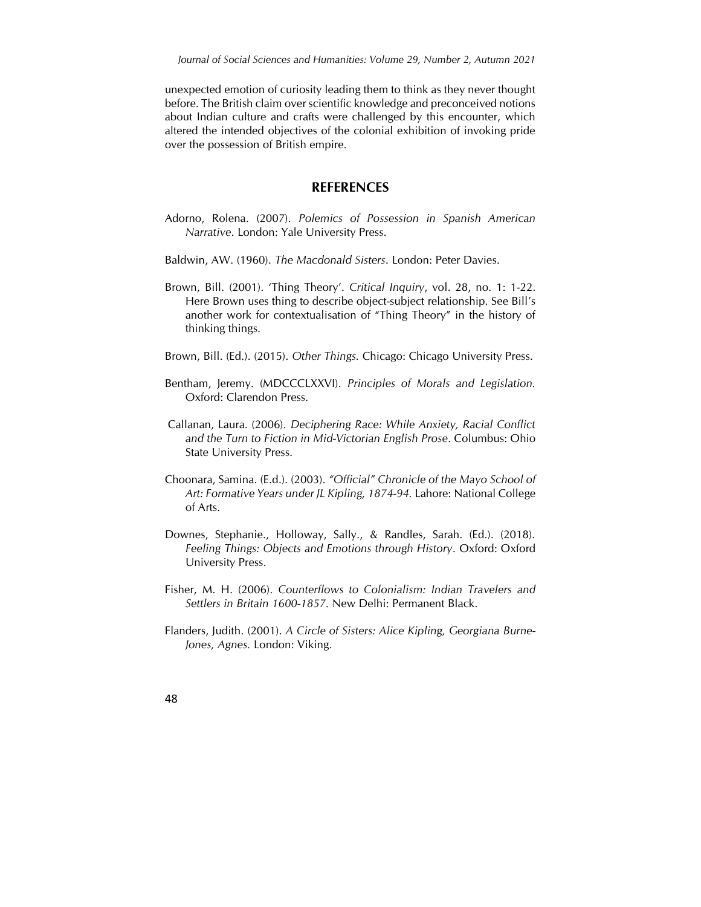unexpected emotion of curiosity leading them to think as they never thought before. The British claim over scientific knowledge and preconceived notions about Indian culture and crafts were challenged by this encounter, which altered the intended objectives of the colonial exhibition of invoking pride over the possession of British empire.

#### **REFERENCES**

- Adorno, Rolena. (2007). *Polemics of Possession in Spanish American Narrative*. London: Yale University Press.
- Baldwin, AW. (1960). *The Macdonald Sisters*. London: Peter Davies.
- Brown, Bill. (2001). 'Thing Theory'. *Critical Inquiry*, vol. 28, no. 1: 1-22. Here Brown uses thing to describe object-subject relationship. See Bill's another work for contextualisation of "Thing Theory" in the history of thinking things.
- Brown, Bill. (Ed.). (2015). *Other Things.* Chicago: Chicago University Press.
- Bentham, Jeremy. (MDCCCLXXVI). *Principles of Morals and Legislation.* Oxford: Clarendon Press.
- Callanan, Laura. (2006). *Deciphering Race: While Anxiety, Racial Conflict and the Turn to Fiction in Mid-Victorian English Prose*. Columbus: Ohio State University Press.
- Choonara, Samina. (E.d.). (2003). *"Official" Chronicle of the Mayo School of Art: Formative Years under JL Kipling, 1874-94.* Lahore: National College of Arts.
- Downes, Stephanie., Holloway, Sally., & Randles, Sarah. (Ed.). (2018). *Feeling Things: Objects and Emotions through History*. Oxford: Oxford University Press.
- Fisher, M. H. (2006). *Counterflows to Colonialism: Indian Travelers and Settlers in Britain 1600-1857.* New Delhi: Permanent Black.
- Flanders, Judith. (2001). *A Circle of Sisters: Alice Kipling, Georgiana Burne-Jones, Agnes.* London: Viking.
- 48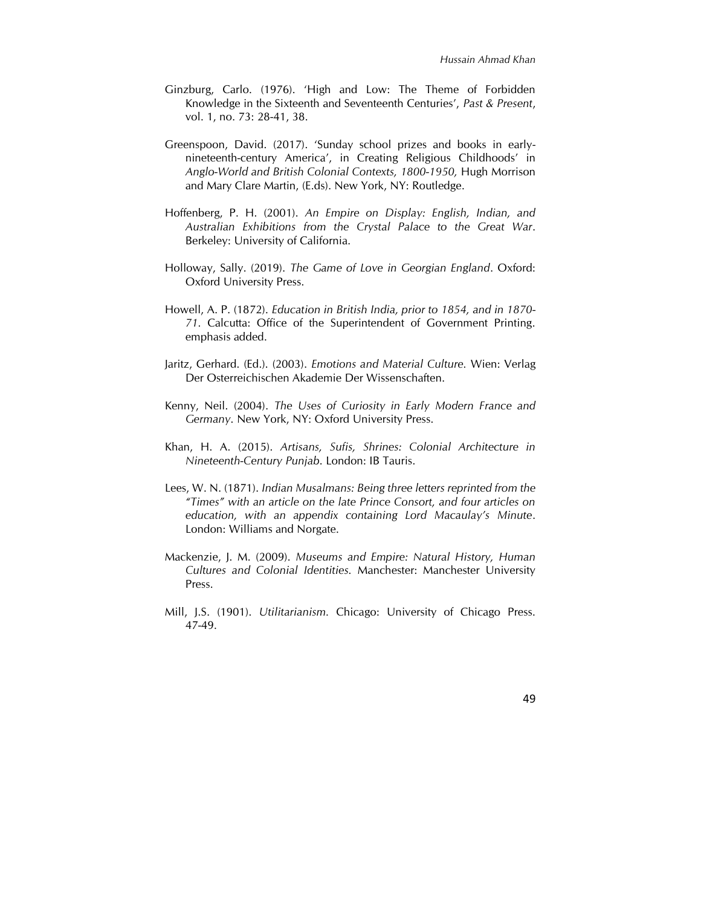- Ginzburg, Carlo. (1976). 'High and Low: The Theme of Forbidden Knowledge in the Sixteenth and Seventeenth Centuries', *Past & Present*, vol. 1, no. 73: 28-41, 38.
- Greenspoon, David. (2017). 'Sunday school prizes and books in earlynineteenth-century America', in Creating Religious Childhoods' in *Anglo-World and British Colonial Contexts, 1800-1950,* Hugh Morrison and Mary Clare Martin, (E.ds). New York, NY: Routledge.
- Hoffenberg, P. H. (2001). *An Empire on Display: English, Indian, and Australian Exhibitions from the Crystal Palace to the Great War*. Berkeley: University of California.
- Holloway, Sally. (2019). *The Game of Love in Georgian England*. Oxford: Oxford University Press.
- Howell, A. P. (1872). *Education in British India, prior to 1854, and in 1870- 71.* Calcutta: Office of the Superintendent of Government Printing. emphasis added.
- Jaritz, Gerhard. (Ed.). (2003). *Emotions and Material Culture.* Wien: Verlag Der Osterreichischen Akademie Der Wissenschaften.
- Kenny, Neil. (2004). *The Uses of Curiosity in Early Modern France and Germany*. New York, NY: Oxford University Press.
- Khan, H. A. (2015). *Artisans, Sufis, Shrines: Colonial Architecture in Nineteenth-Century Punjab*. London: IB Tauris.
- Lees, W. N. (1871). *Indian Musalmans: Being three letters reprinted from the "Times" with an article on the late Prince Consort, and four articles on education, with an appendix containing Lord Macaulay's Minute*. London: Williams and Norgate.
- Mackenzie, J. M. (2009). *Museums and Empire: Natural History, Human Cultures and Colonial Identities.* Manchester: Manchester University Press.
- Mill, J.S. (1901). *Utilitarianism.* Chicago: University of Chicago Press. 47-49.